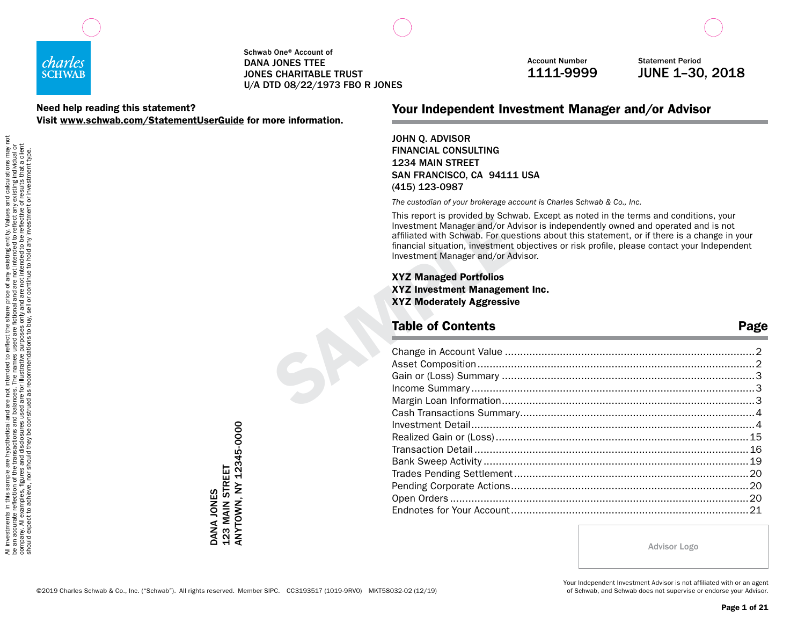

#### Need help reading this statement? Visit www.schwab.com/StatementUserGuide for more information.

Account Number 1111-9999

Statement Period JUNE 1–30, 2018

## Your Independent Investment Manager and/or Advisor

JOHN Q. ADVISOR FINANCIAL CONSULTING 1234 MAIN STREET SAN FRANCISCO, CA 94111 USA (415) 123-0987

*The custodian of your brokerage account is Charles Schwab & Co., Inc.*

This report is provided by Schwab. Except as noted in the terms and conditions, your Investment Manager and/or Advisor is independently owned and operated and is not affiliated with Schwab. For questions about this statement, or if there is a change in your financial situation, investment objectives or risk profile, please contact your Independent Investment Manager and/or Advisor.

### Table of Contents **Page**

| This report is provided by Schwab. Except as hoted in the terms and conditions, your<br>Investment Manager and/or Advisor is independently owned and operated and is not<br>affiliated with Schwab. For questions about this statement, or if there is a change in your<br>financial situation, investment objectives or risk profile, please contact your Independent<br>Investment Manager and/or Advisor. |      |
|--------------------------------------------------------------------------------------------------------------------------------------------------------------------------------------------------------------------------------------------------------------------------------------------------------------------------------------------------------------------------------------------------------------|------|
| <b>XYZ Managed Portfolios</b><br>XYZ Investment Management Inc.<br><b>XYZ Moderately Aggressive</b><br><b>Table of Contents</b>                                                                                                                                                                                                                                                                              | Page |
|                                                                                                                                                                                                                                                                                                                                                                                                              |      |
|                                                                                                                                                                                                                                                                                                                                                                                                              |      |
|                                                                                                                                                                                                                                                                                                                                                                                                              |      |
|                                                                                                                                                                                                                                                                                                                                                                                                              |      |
|                                                                                                                                                                                                                                                                                                                                                                                                              |      |
|                                                                                                                                                                                                                                                                                                                                                                                                              |      |
|                                                                                                                                                                                                                                                                                                                                                                                                              |      |
|                                                                                                                                                                                                                                                                                                                                                                                                              |      |
|                                                                                                                                                                                                                                                                                                                                                                                                              |      |
|                                                                                                                                                                                                                                                                                                                                                                                                              |      |
|                                                                                                                                                                                                                                                                                                                                                                                                              |      |
|                                                                                                                                                                                                                                                                                                                                                                                                              |      |
|                                                                                                                                                                                                                                                                                                                                                                                                              |      |
|                                                                                                                                                                                                                                                                                                                                                                                                              |      |
|                                                                                                                                                                                                                                                                                                                                                                                                              |      |

Advisor Logo

©2019 Charles Schwab & Co., Inc. ("Schwab"). All rights reserved. Member SIPC. CC3193517 (1019-9RV0) MKT58032-02 (12/19)

ANYTOWN, NY 12345-0000

DANA JONES<br>123 MAIN STREET<br>ANYTOWN, NY 12345-0000

DANA JONES 123 MAIN STREET

> Your Independent Investment Advisor is not affiliated with or an agent of Schwab, and Schwab does not supervise or endorse your Advisor.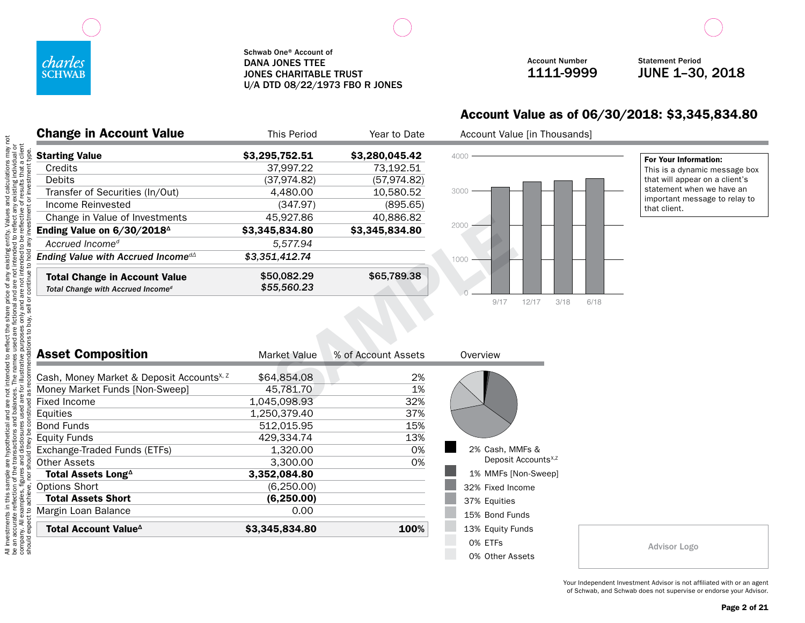

Account Number 1111-9999

Statement Period JUNE 1–30, 2018

## Account Value as of 06/30/2018: \$3,345,834.80

| <b>Change in Account Value</b>                 | This Period    | Year to Date   |
|------------------------------------------------|----------------|----------------|
| <b>Starting Value</b>                          | \$3,295,752.51 | \$3,280,045.42 |
| Credits                                        | 37.997.22      | 73,192.51      |
| Debits                                         | (37,974.82)    | (57,974.82)    |
| Transfer of Securities (In/Out)                | 4,480.00       | 10,580.52      |
| Income Reinvested                              | (347.97)       | (895.65)       |
| Change in Value of Investments                 | 45,927.86      | 40,886.82      |
| Ending Value on 6/30/2018 <sup>4</sup>         | \$3,345,834.80 | \$3,345,834.80 |
| Accrued Income <sup>d</sup>                    | 5.577.94       |                |
| Ending Value with Accrued Income <sup>d∆</sup> | \$3,351,412.74 |                |
| <b>Total Change in Account Value</b>           | \$50,082.29    | \$65,789.38    |
| Total Change with Accrued Income <sup>d</sup>  | \$55,560.23    |                |



Account Value [in Thousands]

For Your Information: This is a dynamic message box that will appear on a client's statement when we have an important message to relay to that client.

| Change in Value of Investments                                                        | 45,927.86                  | 40,886.82           |               |
|---------------------------------------------------------------------------------------|----------------------------|---------------------|---------------|
| Ending Value on 6/30/2018 <sup>4</sup>                                                | \$3,345,834.80             | \$3,345,834.80      | 2000          |
| Accrued Income <sup>d</sup>                                                           | 5,577.94                   |                     |               |
| Ending Value with Accrued Income <sup>dA</sup>                                        | \$3,351,412.74             |                     | 1000          |
| <b>Total Change in Account Value</b><br>Total Change with Accrued Income <sup>d</sup> | \$50,082.29<br>\$55,560.23 | \$65,789.38         |               |
|                                                                                       |                            |                     | 9/17          |
| <b>Asset Composition</b>                                                              | <b>Market Value</b>        | % of Account Assets | Overview      |
| Cash, Money Market & Deposit Accounts <sup>x, z</sup>                                 | \$64,854.08                | 2%                  |               |
| Money Market Funds [Non-Sweep]                                                        | 45,781.70                  | 1%                  |               |
| <b>Fixed Income</b>                                                                   | 1,045,098.93               | 32%                 |               |
| Equities                                                                              | 1,250,379.40               | 37%                 |               |
| <b>Bond Funds</b>                                                                     | 512,015.95                 | 15%                 |               |
| <b>Equity Funds</b>                                                                   | 429,334.74                 | 13%                 |               |
| Exchange-Traded Funds (ETFs)                                                          | 1,320.00                   | 0%                  | 2% Cash, MM   |
| <b>Other Assets</b>                                                                   | 3,300.00                   | 0%                  | Deposit /     |
| Total Assets Long <sup>^</sup>                                                        | 3,352,084.80               |                     | 1% MMFs [N    |
| Options Short                                                                         | (6, 250.00)                |                     | 32% Fixed Inc |
| <b>Total Assets Short</b>                                                             | (6, 250.00)                |                     | 37% Equities  |
| Margin Loan Balance                                                                   | 0.00                       |                     | 15% Bond Fur  |
| Total Account Value <sup>4</sup>                                                      | \$3,345,834.80             | 100%                | 13% Equity Fu |
|                                                                                       |                            |                     | 0% ETFs       |



Your Independent Investment Advisor is not affiliated with or an agent of Schwab, and Schwab does not supervise or endorse your Advisor.

Advisor Logo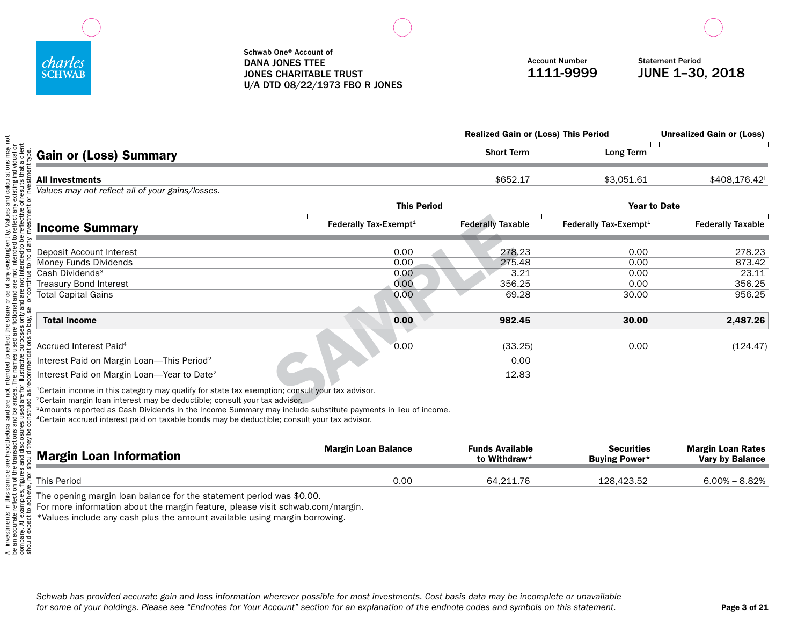

|                                                                                                                                                                                                                                                                                                                      |                                   | <b>Realized Gain or (Loss) This Period</b> |                                   | <b>Unrealized Gain or (Loss)</b> |
|----------------------------------------------------------------------------------------------------------------------------------------------------------------------------------------------------------------------------------------------------------------------------------------------------------------------|-----------------------------------|--------------------------------------------|-----------------------------------|----------------------------------|
| & Gain or (Loss) Summary                                                                                                                                                                                                                                                                                             |                                   | <b>Short Term</b>                          | Long Term                         |                                  |
| <b>All Investments</b>                                                                                                                                                                                                                                                                                               |                                   | \$652.17                                   | \$3,051.61                        | \$408,176.42                     |
| Values may not reflect all of your gains/losses.                                                                                                                                                                                                                                                                     |                                   |                                            |                                   |                                  |
|                                                                                                                                                                                                                                                                                                                      | <b>This Period</b>                |                                            |                                   | <b>Year to Date</b>              |
| <b>Income Summary</b>                                                                                                                                                                                                                                                                                                | Federally Tax-Exempt <sup>1</sup> | <b>Federally Taxable</b>                   | Federally Tax-Exempt <sup>1</sup> | <b>Federally Taxable</b>         |
|                                                                                                                                                                                                                                                                                                                      | 0.00                              | 278.23                                     | 0.00                              | 278.23                           |
| Deposit Account Interest<br>Money Funds Dividends                                                                                                                                                                                                                                                                    | 0.00                              | 275.48                                     | 0.00                              | 873.42                           |
| Cash Dividends <sup>3</sup>                                                                                                                                                                                                                                                                                          | 0.00                              | 3.21                                       | 0.00                              | 23.11                            |
| Treasury Bond Interest                                                                                                                                                                                                                                                                                               | 0.00                              | 356.25                                     | 0.00                              | 356.25                           |
| Total Capital Gains                                                                                                                                                                                                                                                                                                  | 0.00                              | 69.28                                      | 30.00                             | 956.25                           |
| buy,<br><b>Total Income</b>                                                                                                                                                                                                                                                                                          | 0.00                              | 982.45                                     | 30.00                             | 2,487.26                         |
| Accrued Interest Paid <sup>4</sup>                                                                                                                                                                                                                                                                                   | 0.00                              | (33.25)                                    | 0.00                              | (124.47)                         |
| Interest Paid on Margin Loan-This Period <sup>2</sup>                                                                                                                                                                                                                                                                |                                   | 0.00                                       |                                   |                                  |
| Interest Paid on Margin Loan-Year to Date <sup>2</sup>                                                                                                                                                                                                                                                               |                                   | 12.83                                      |                                   |                                  |
| <sup>1</sup> Certain income in this category may qualify for state tax exemption; consult your tax advisor.<br><sup>2</sup> Certain margin loan interest may be deductible; consult your tax advisor.<br>3Amounts reported as Cash Dividends in the Income Summary may include substitute nayments in lieu of income |                                   |                                            |                                   |                                  |

3Amounts reported as Cash Dividends in the Income Summary may include substitute payments in lieu of income.

4Certain accrued interest paid on taxable bonds may be deductible; consult your tax advisor.

| <b>Margin Loan Information</b> | <b>Margin Loan Balance</b> | <b>Funds Available</b><br>to Withdraw* | <b>Securities</b><br><b>Buying Power*</b> | <b>Margin Loan Rates</b><br><b>Vary by Balance</b> |
|--------------------------------|----------------------------|----------------------------------------|-------------------------------------------|----------------------------------------------------|
| This Period                    | 0.00                       | 64.211.76                              | 128,423.52                                | $6.00\% - 8.82\%$                                  |

The opening margin loan balance for the statement period was \$0.00.

For more information about the margin feature, please visit schwab.com/margin.

\*Values include any cash plus the amount available using margin borrowing.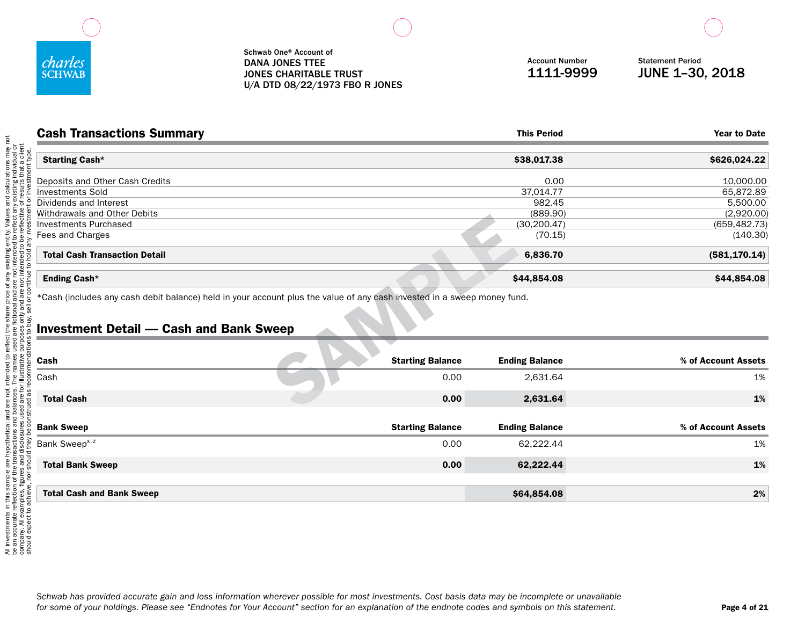

| <b>Cash Transactions Summary</b>                                                                                        |                         | <b>This Period</b>    | <b>Year to Date</b> |
|-------------------------------------------------------------------------------------------------------------------------|-------------------------|-----------------------|---------------------|
| <b>Starting Cash*</b>                                                                                                   |                         | \$38,017.38           | \$626,024.22        |
| Deposits and Other Cash Credits                                                                                         |                         | 0.00                  | 10,000.00           |
| <b>Investments Sold</b>                                                                                                 |                         | 37,014.77             | 65,872.89           |
| Dividends and Interest                                                                                                  |                         | 982.45                | 5,500.00            |
| Withdrawals and Other Debits                                                                                            |                         | (889.90)              | (2,920.00)          |
| <b>Investments Purchased</b>                                                                                            |                         | (30, 200.47)          | (659, 482.73)       |
| Fees and Charges                                                                                                        |                         | (70.15)               | (140.30)            |
| <b>Total Cash Transaction Detail</b>                                                                                    |                         | 6,836.70              | (581, 170.14)       |
| Ending Cash*                                                                                                            |                         | \$44,854.08           | \$44,854.08         |
| *Cash (includes any cash debit balance) held in your account plus the value of any cash invested in a sweep money fund. |                         |                       |                     |
| <b>Investment Detail — Cash and Bank Sweep</b>                                                                          |                         |                       |                     |
|                                                                                                                         |                         |                       |                     |
| Cash                                                                                                                    | <b>Starting Balance</b> | <b>Ending Balance</b> | % of Account Assets |
| Cash                                                                                                                    | 0.00                    | 2,631.64              | 1%                  |
| <b>Total Cash</b>                                                                                                       | 0.00                    | 2,631.64              | 1%                  |

## Investment Detail — Cash and Bank Sweep

| <b>Starting Balance</b> | <b>Ending Balance</b> | % of Account Assets |
|-------------------------|-----------------------|---------------------|
| 0.00                    | 2,631.64              | 1%                  |
| 0.00                    | 2,631.64              | 1%                  |
| <b>Starting Balance</b> | <b>Ending Balance</b> | % of Account Assets |
| 0.00                    | 62,222.44             | 1%                  |
| 0.00                    | 62,222.44             | 1%                  |
|                         |                       | 2%                  |
|                         |                       | \$64,854.08         |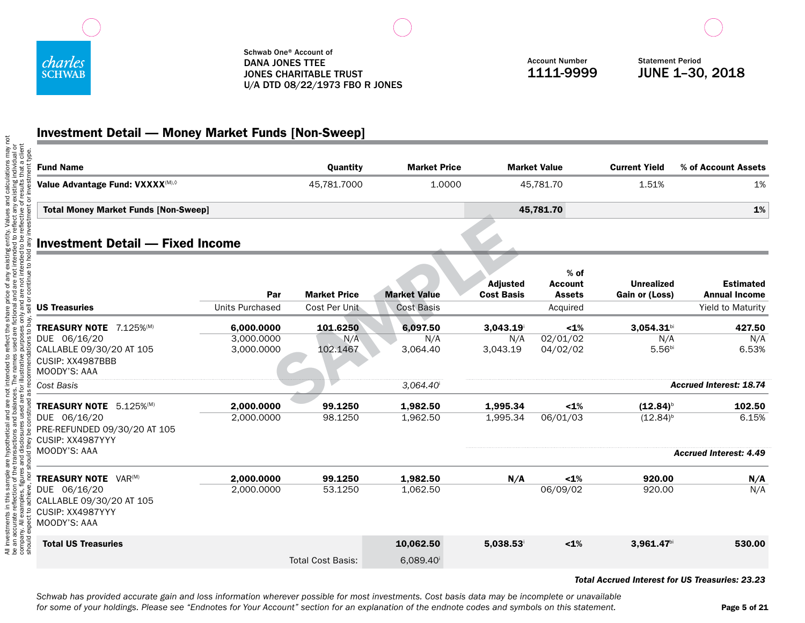

Account Number 1111-9999

Statement Period JUNE 1–30, 2018

# Investment Detail — Money Market Funds [Non-Sweep]

| <b>Fund Name</b>                                                                   |                        | Quantity                             | <b>Market Price</b>                      |                               | <b>Market Value</b>                                   | <b>Current Yield</b>                | % of Account Assets                                                  |
|------------------------------------------------------------------------------------|------------------------|--------------------------------------|------------------------------------------|-------------------------------|-------------------------------------------------------|-------------------------------------|----------------------------------------------------------------------|
| Value Advantage Fund: VXXXX(M),0                                                   |                        | 45,781.7000                          | 1.0000                                   | 45,781.70                     |                                                       | 1.51%                               | 1%                                                                   |
| <b>Total Money Market Funds [Non-Sweep]</b>                                        |                        |                                      |                                          |                               | 45,781.70                                             |                                     | 1%                                                                   |
| <b>Investment Detail - Fixed Income</b>                                            |                        |                                      |                                          |                               |                                                       |                                     |                                                                      |
| <b>US Treasuries</b>                                                               | Par<br>Units Purchased | <b>Market Price</b><br>Cost Per Unit | <b>Market Value</b><br><b>Cost Basis</b> | Adjusted<br><b>Cost Basis</b> | $%$ of<br><b>Account</b><br><b>Assets</b><br>Acquired | <b>Unrealized</b><br>Gain or (Loss) | <b>Estimated</b><br><b>Annual Income</b><br><b>Yield to Maturity</b> |
| TREASURY NOTE 7.125%(M)                                                            | 6,000.0000             | 101.6250                             | 6,097.50                                 | 3,043.19                      | $< 1\%$                                               | $3,054.31$ bi                       | 427.50                                                               |
| DUE 06/16/20                                                                       | 3,000.0000             | N/A                                  | N/A                                      | N/A                           | 02/01/02                                              | N/A                                 | N/A                                                                  |
| CALLABLE 09/30/20 AT 105<br>CUSIP: XX4987BBB<br>MOODY'S: AAA                       | 3,000.0000             | 102.1467                             | 3,064.40                                 | 3,043.19                      | 04/02/02                                              | 5.56 <sup>bi</sup>                  | 6.53%                                                                |
| Cost Basis                                                                         |                        |                                      | 3,064.40                                 |                               |                                                       |                                     | <b>Accrued Interest: 18.74</b>                                       |
| TREASURY NOTE 5.125%(M)                                                            | 2,000.0000             | 99.1250                              | 1,982.50                                 | 1,995.34                      | $< 1\%$                                               | $(12.84)^{b}$                       | 102.50                                                               |
| DUE 06/16/20<br>PRE-REFUNDED 09/30/20 AT 105<br>CUSIP: XX4987YYY                   | 2,000.0000             | 98.1250                              | 1,962.50                                 | 1,995.34                      | 06/01/03                                              | $(12.84)^{b}$                       | 6.15%                                                                |
| MOODY'S: AAA                                                                       |                        |                                      |                                          |                               |                                                       |                                     | <b>Accrued Interest: 4.49</b>                                        |
| <b>TREASURY NOTE VAR(M)</b>                                                        | 2.000.0000             | 99.1250                              | 1.982.50                                 | N/A                           | $< 1\%$                                               | 920.00                              | N/A                                                                  |
| DUE 06/16/20<br>CALLABLE 09/30/20 AT 105<br>CUSIP: XX4987YYY<br>MOODY'S: AAA<br>ేత | 2,000.0000             | 53.1250                              | 1,062.50                                 |                               | 06/09/02                                              | 920.00                              | N/A                                                                  |
| should<br><b>Total US Treasuries</b>                                               |                        | <b>Total Cost Basis:</b>             | 10,062.50<br>6,089.40                    | 5,038.53                      | $< 1\%$                                               | $3,961.47$ bi                       | 530.00                                                               |
|                                                                                    |                        |                                      |                                          |                               |                                                       |                                     |                                                                      |

#### *Total Accrued Interest for US Treasuries: 23.23*

*Schwab has provided accurate gain and loss information wherever possible for most investments. Cost basis data may be incomplete or unavailable for some of your holdings. Please see "Endnotes for Your Account" section for an explanation of the endnote codes and symbols on this statement.*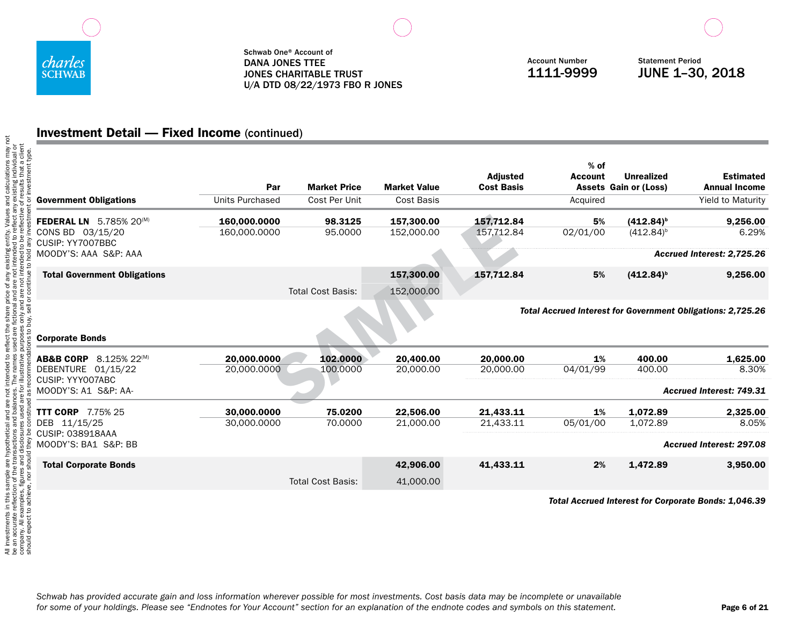

Account Number 1111-9999

Statement Period JUNE 1–30, 2018

## Investment Detail — Fixed Income (continued)

| <b>Government Obligations</b>                       | Par<br><b>Units Purchased</b> | <b>Market Price</b><br>Cost Per Unit | <b>Market Value</b><br>Cost Basis | <b>Adjusted</b><br><b>Cost Basis</b> | $%$ of<br><b>Account</b><br>Acquired | <b>Unrealized</b><br><b>Assets Gain or (Loss)</b> | <b>Estimated</b><br><b>Annual Income</b><br>Yield to Maturity      |
|-----------------------------------------------------|-------------------------------|--------------------------------------|-----------------------------------|--------------------------------------|--------------------------------------|---------------------------------------------------|--------------------------------------------------------------------|
|                                                     |                               |                                      |                                   |                                      |                                      |                                                   |                                                                    |
| $5.785\%$ 20 <sup>(M)</sup><br><b>FEDERAL LN</b>    | 160,000.0000                  | 98.3125                              | 157.300.00                        | 157,712.84                           | 5%                                   | $(412.84)^{b}$                                    | 9,256.00                                                           |
| CONS BD 03/15/20<br>CUSIP: YY7007BBC                | 160,000.0000                  | 95.0000                              | 152,000.00                        | 157,712.84                           | 02/01/00                             | $(412.84)^{b}$                                    | 6.29%                                                              |
| MOODY'S: AAA S&P: AAA                               |                               |                                      |                                   |                                      |                                      |                                                   | Accrued Interest: 2,725.26                                         |
| <b>Total Government Obligations</b>                 |                               |                                      | 157,300.00                        | 157,712.84                           | 5%                                   | $(412.84)^{b}$                                    | 9,256.00                                                           |
|                                                     |                               | <b>Total Cost Basis:</b>             | 152,000.00                        |                                      |                                      |                                                   |                                                                    |
| <b>Corporate Bonds</b>                              |                               |                                      |                                   |                                      |                                      |                                                   | <b>Total Accrued Interest for Government Obligations: 2,725.26</b> |
| $8.125\%$ 22 <sup>(M)</sup><br><b>AB&amp;B CORP</b> | 20,000,0000                   | 102.0000                             | 20.400.00                         | 20,000,00                            | 1%                                   | 400.00                                            | 1.625.00                                                           |
| DEBENTURE 01/15/22                                  | 20,000.0000                   | 100.0000                             | 20,000.00                         | 20,000.00                            | 04/01/99                             | 400.00                                            | 8.30%                                                              |
| CUSIP: YYYOO7ABC<br>MOODY'S: A1 S&P: AA-            |                               |                                      |                                   |                                      |                                      |                                                   | <b>Accrued Interest: 749.31</b>                                    |
| <b>TTT CORP</b> 7.75% 25                            | 30,000,0000                   | 75.0200                              | 22.506.00                         | 21,433.11                            | 1%                                   | 1,072.89                                          | 2.325.00                                                           |
| DEB<br>11/15/25                                     | 30,000.0000                   | 70,0000                              | 21,000.00                         | 21,433.11                            | 05/01/00                             | 1,072.89                                          | 8.05%                                                              |
| CUSIP: 038918AAA<br>MOODY'S: BA1 S&P: BB            |                               |                                      |                                   |                                      |                                      |                                                   | <b>Accrued Interest: 297.08</b>                                    |
| <b>Total Corporate Bonds</b>                        |                               |                                      | 42.906.00                         | 41,433.11                            | 2%                                   | 1.472.89                                          | 3,950.00                                                           |
|                                                     |                               | <b>Total Cost Basis:</b>             | 41,000.00                         |                                      |                                      |                                                   |                                                                    |
|                                                     |                               |                                      |                                   |                                      |                                      |                                                   |                                                                    |

*Total Accrued Interest for Corporate Bonds: 1,046.39*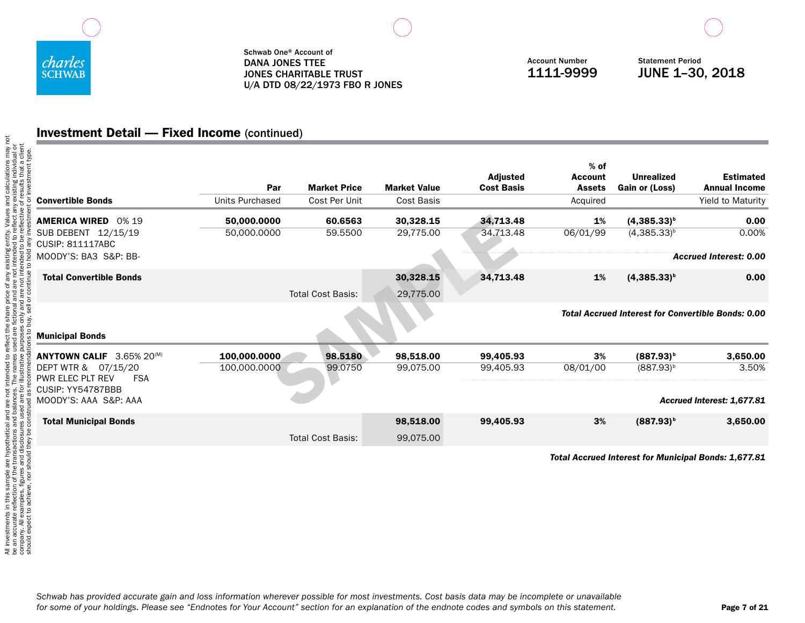

Account Number 1111-9999

Statement Period JUNE 1–30, 2018

## Investment Detail — Fixed Income (continued)

| <b>Convertible Bonds</b>                                        | Par<br>Units Purchased       | <b>Market Price</b><br>Cost Per Unit | <b>Market Value</b><br><b>Cost Basis</b> | Adjusted<br><b>Cost Basis</b> | $%$ of<br><b>Account</b><br><b>Assets</b><br>Acquired | <b>Unrealized</b><br>Gain or (Loss) | <b>Estimated</b><br><b>Annual Income</b><br><b>Yield to Maturity</b> |
|-----------------------------------------------------------------|------------------------------|--------------------------------------|------------------------------------------|-------------------------------|-------------------------------------------------------|-------------------------------------|----------------------------------------------------------------------|
| <b>AMERICA WIRED</b><br>0% 19                                   | 50,000.0000                  | 60.6563                              | 30,328.15                                | 34,713.48                     | 1%                                                    | $(4,385.33)^{b}$                    | 0.00                                                                 |
| SUB DEBENT 12/15/19<br><b>CUSIP: 811117ABC</b>                  | 50,000.0000                  | 59.5500                              | 29,775.00                                | 34.713.48                     | 06/01/99                                              | $(4,385.33)^{b}$                    | 0.00%                                                                |
| MOODY'S: BA3 S&P: BB-                                           |                              |                                      |                                          |                               |                                                       |                                     | <b>Accrued Interest: 0.00</b>                                        |
| <b>Total Convertible Bonds</b>                                  |                              |                                      | 30,328.15                                | 34,713.48                     | 1%                                                    | $(4,385.33)^{b}$                    | 0.00                                                                 |
|                                                                 |                              | <b>Total Cost Basis:</b>             | 29,775.00                                |                               |                                                       |                                     |                                                                      |
| <b>Municipal Bonds</b>                                          |                              |                                      |                                          |                               |                                                       |                                     | <b>Total Accrued Interest for Convertible Bonds: 0.00</b>            |
|                                                                 |                              |                                      |                                          |                               |                                                       |                                     |                                                                      |
| ANYTOWN CALIF 3.65% 20(M)                                       |                              | 98.5180                              |                                          |                               | 3%                                                    |                                     |                                                                      |
| 07/15/20<br>DEPT WTR &<br><b>PWR ELEC PLT REV</b><br><b>FSA</b> | 100,000.0000<br>100,000.0000 | 99.0750                              | 98,518.00<br>99,075.00                   | 99,405.93<br>99,405.93        | 08/01/00                                              | $(887.93)^{b}$<br>$(887.93)^{b}$    | 3,650.00<br>3.50%                                                    |
| CUSIP: YY54787BBB<br>MOODY'S: AAA S&P: AAA                      |                              |                                      |                                          |                               |                                                       |                                     | Accrued Interest: 1,677.81                                           |
| <b>Total Municipal Bonds</b>                                    |                              |                                      | 98,518.00                                | 99,405.93                     | 3%                                                    | $(887.93)^{b}$                      | 3,650.00                                                             |
|                                                                 |                              | <b>Total Cost Basis:</b>             | 99,075.00                                |                               |                                                       |                                     |                                                                      |

*Total Accrued Interest for Municipal Bonds: 1,677.81*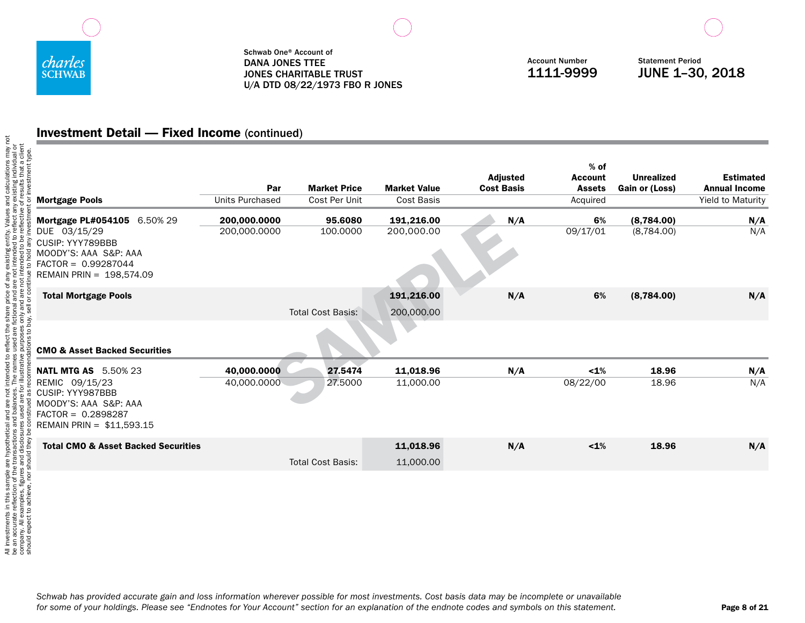

Account Number 1111-9999

Statement Period JUNE 1–30, 2018

## Investment Detail — Fixed Income (continued)

| <b>Mortgage Pools</b>                                                                                                                           | Par<br>Units Purchased       | <b>Market Price</b><br>Cost Per Unit | <b>Market Value</b><br><b>Cost Basis</b> | Adjusted<br><b>Cost Basis</b> | $%$ of<br><b>Account</b><br><b>Assets</b><br>Acquired | <b>Unrealized</b><br>Gain or (Loss) | <b>Estimated</b><br><b>Annual Income</b><br>Yield to Maturity |
|-------------------------------------------------------------------------------------------------------------------------------------------------|------------------------------|--------------------------------------|------------------------------------------|-------------------------------|-------------------------------------------------------|-------------------------------------|---------------------------------------------------------------|
| Mortgage PL#054105 6.50% 29<br>DUE 03/15/29<br>CUSIP: YYY789BBB<br>MOODY'S: AAA S&P: AAA<br>$FACTOR = 0.99287044$<br>REMAIN PRIN = 198,574.09   | 200,000.0000<br>200,000.0000 | 95.6080<br>100,0000                  | 191,216.00<br>200,000.00                 | N/A                           | 6%<br>09/17/01                                        | (8,784.00)<br>(8,784.00)            | N/A<br>N/A                                                    |
| <b>Total Mortgage Pools</b><br><b>CMO &amp; Asset Backed Securities</b>                                                                         |                              | <b>Total Cost Basis:</b>             | 191,216.00<br>200,000.00                 | N/A                           | 6%                                                    | (8,784.00)                          | N/A                                                           |
| <b>NATL MTG AS</b> 5.50% 23<br>REMIC 09/15/23<br>CUSIP: YYY987BBB<br>MOODY'S: AAA S&P: AAA<br>$FACTOR = 0.2898287$<br>REMAIN PRIN = \$11,593.15 | 40,000.0000<br>40,000.0000   | 27.5474<br>27,5000                   | 11,018.96<br>11,000.00                   | N/A                           | 1%<br>08/22/00                                        | 18.96<br>18.96                      | N/A<br>N/A                                                    |
| <b>Total CMO &amp; Asset Backed Securities</b>                                                                                                  |                              | <b>Total Cost Basis:</b>             | 11,018.96<br>11,000.00                   | N/A                           | $< 1\%$                                               | 18.96                               | N/A                                                           |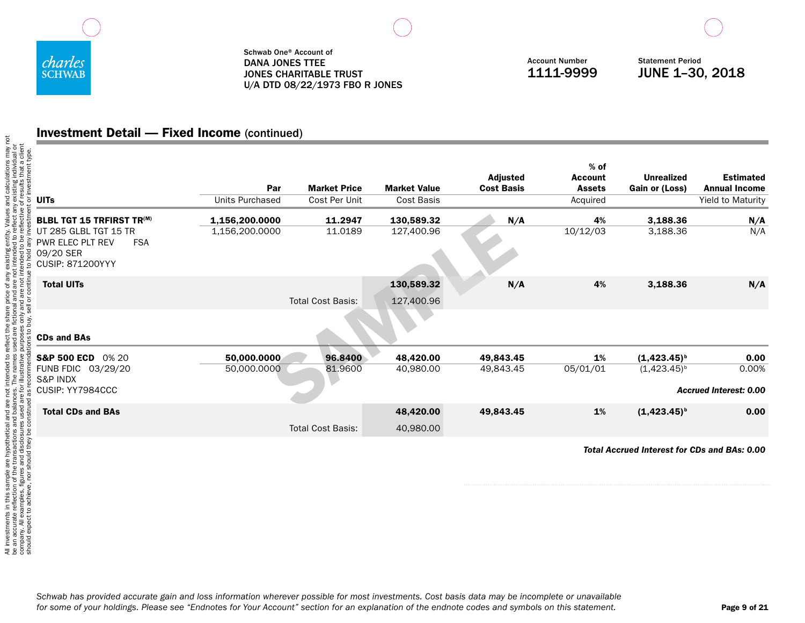

Account Number 1111-9999

Statement Period JUNE 1–30, 2018

## Investment Detail — Fixed Income (continued)

| nt typ<br><b>UITs</b>                                                                           | Par<br><b>Units Purchased</b> | <b>Market Price</b><br>Cost Per Unit | <b>Market Value</b><br>Cost Basis | <b>Adjusted</b><br><b>Cost Basis</b> | $%$ of<br><b>Account</b><br><b>Assets</b><br>Acquired | <b>Unrealized</b><br><b>Gain or (Loss)</b> | <b>Estimated</b><br><b>Annual Income</b><br>Yield to Maturity |
|-------------------------------------------------------------------------------------------------|-------------------------------|--------------------------------------|-----------------------------------|--------------------------------------|-------------------------------------------------------|--------------------------------------------|---------------------------------------------------------------|
| <b>BLBL TGT 15 TRFIRST TR(M)</b>                                                                | 1,156,200.0000                | 11.2947                              | 130,589.32                        | N/A                                  | 4%                                                    | 3,188.36                                   | N/A                                                           |
| UT 285 GLBL TGT 15 TR<br>PWR ELEC PLT REV<br><b>FSA</b><br>09/20 SER<br><b>CUSIP: 871200YYY</b> | 1,156,200.0000                | 11.0189                              | 127,400.96                        |                                      | 10/12/03                                              | 3,188.36                                   | N/A                                                           |
| <b>Total UITs</b>                                                                               |                               |                                      | 130,589.32                        | N/A                                  | 4%                                                    | 3,188.36                                   | N/A                                                           |
|                                                                                                 |                               | <b>Total Cost Basis:</b>             | 127,400.96                        |                                      |                                                       |                                            |                                                               |
| <b>CDs and BAs</b>                                                                              |                               |                                      |                                   |                                      |                                                       |                                            |                                                               |
| S&P 500 ECD 0% 20                                                                               | 50,000.0000                   | 96.8400                              | 48,420.00                         | 49,843.45                            | 1%                                                    | $(1, 423.45)^{b}$                          | 0.00                                                          |
| FUNB FDIC 03/29/20<br><b>S&amp;P INDX</b><br>CUSIP: YY7984CCC                                   | 50,000.0000                   | 81.9600                              | 40,980.00                         | 49,843.45                            | 05/01/01                                              | $(1,423.45)^{b}$                           | 0.00%<br><b>Accrued Interest: 0.00</b>                        |
|                                                                                                 |                               |                                      |                                   |                                      |                                                       |                                            |                                                               |
| <b>Total CDs and BAs</b>                                                                        |                               |                                      | 48,420.00                         | 49,843.45                            | 1%                                                    | $(1,423.45)^{b}$                           | 0.00                                                          |
|                                                                                                 |                               | <b>Total Cost Basis:</b>             | 40,980.00                         |                                      |                                                       |                                            |                                                               |
|                                                                                                 |                               |                                      |                                   |                                      |                                                       |                                            | <b>Total Accrued Interest for CDs and BAs: 0.00</b>           |
| should expect to achieve, nor should they be                                                    |                               |                                      |                                   |                                      |                                                       |                                            |                                                               |

*Schwab has provided accurate gain and loss information wherever possible for most investments. Cost basis data may be incomplete or unavailable for some of your holdings. Please see "Endnotes for Your Account" section for an explanation of the endnote codes and symbols on this statement.*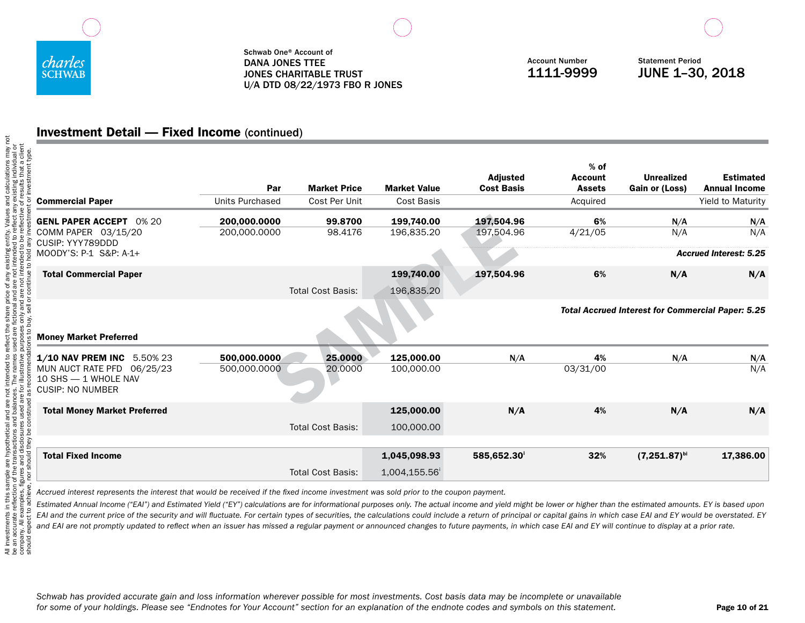

Account Number 1111-9999

Statement Period JUNE 1–30, 2018

# Investment Detail — Fixed Income (continued)

| <b>Commercial Paper</b>                                                                                     | Par<br><b>Units Purchased</b> | <b>Market Price</b><br>Cost Per Unit | <b>Market Value</b><br>Cost Basis | <b>Adjusted</b><br><b>Cost Basis</b> | $%$ of<br><b>Account</b><br><b>Assets</b><br>Acquired | <b>Unrealized</b><br>Gain or (Loss)                      | <b>Estimated</b><br><b>Annual Income</b><br><b>Yield to Maturity</b> |
|-------------------------------------------------------------------------------------------------------------|-------------------------------|--------------------------------------|-----------------------------------|--------------------------------------|-------------------------------------------------------|----------------------------------------------------------|----------------------------------------------------------------------|
| <b>GENL PAPER ACCEPT 0% 20</b><br>COMM PAPER 03/15/20<br>CUSIP: YYY789DDD                                   | 200,000.0000<br>200,000.0000  | 99,8700<br>98.4176                   | 199.740.00<br>196,835.20          | 197,504.96<br>197,504.96             | 6%<br>4/21/05                                         | N/A<br>N/A                                               | N/A<br>N/A                                                           |
| MOODY'S: P-1 S&P: A-1+<br><b>Total Commercial Paper</b>                                                     |                               |                                      | 199,740.00                        | 197,504.96                           | 6%                                                    | N/A                                                      | <b>Accrued Interest: 5.25</b><br>N/A                                 |
|                                                                                                             |                               | <b>Total Cost Basis:</b>             | 196,835.20                        |                                      |                                                       |                                                          |                                                                      |
|                                                                                                             |                               |                                      |                                   |                                      |                                                       | <b>Total Accrued Interest for Commercial Paper: 5.25</b> |                                                                      |
| <b>Money Market Preferred</b>                                                                               |                               |                                      |                                   |                                      |                                                       |                                                          |                                                                      |
| 1/10 NAV PREM INC 5.50% 23<br>MUN AUCT RATE PFD 06/25/23<br>10 SHS - 1 WHOLE NAV<br><b>CUSIP: NO NUMBER</b> | 500,000.0000<br>500,000.0000  | 25,0000<br>20,0000                   | 125,000.00<br>100,000.00          | N/A                                  | 4%<br>03/31/00                                        | N/A                                                      | N/A<br>N/A                                                           |
| <b>Total Money Market Preferred</b>                                                                         |                               | <b>Total Cost Basis:</b>             | 125,000.00<br>100,000.00          | N/A                                  | 4%                                                    | N/A                                                      | N/A                                                                  |
| <b>Total Fixed Income</b>                                                                                   |                               |                                      | 1,045,098.93                      | 585,652.30                           | 32%                                                   | $(7,251.87)$ bi                                          | 17,386,00                                                            |
|                                                                                                             |                               | <b>Total Cost Basis:</b>             | 1,004,155.56                      |                                      |                                                       |                                                          |                                                                      |

*Accrued interest represents the interest that would be received if the fixed income investment was sold prior to the coupon payment.* 

*Estimated Annual Income ("EAI") and Estimated Yield ("EY") calculations are for informational purposes only. The actual income and yield might be lower or higher than the estimated amounts. EY is based upon EAI and the current price of the security and will fluctuate. For certain types of securities, the calculations could include a return of principal or capital gains in which case EAI and EY would be overstated. EY and EAI are not promptly updated to reflect when an issuer has missed a regular payment or announced changes to future payments, in which case EAI and EY will continue to display at a prior rate.*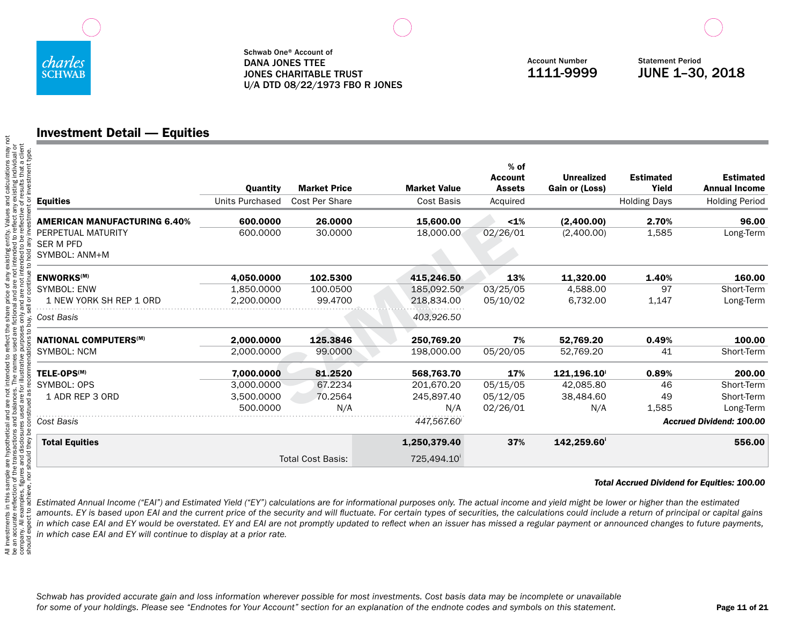

## Investment Detail — Equities

| <b>Equities</b>                     | Quantity<br><b>Units Purchased</b> | <b>Market Price</b><br><b>Cost Per Share</b> | <b>Market Value</b><br><b>Cost Basis</b> | $%$ of<br><b>Account</b><br><b>Assets</b><br>Acquired | <b>Unrealized</b><br>Gain or (Loss) | <b>Estimated</b><br>Yield<br><b>Holding Days</b> | <b>Estimated</b><br><b>Annual Income</b><br><b>Holding Period</b> |
|-------------------------------------|------------------------------------|----------------------------------------------|------------------------------------------|-------------------------------------------------------|-------------------------------------|--------------------------------------------------|-------------------------------------------------------------------|
| <b>AMERICAN MANUFACTURING 6.40%</b> | 600.0000                           | 26.0000                                      | 15,600.00                                | $< 1\%$                                               | (2,400.00)                          | 2.70%                                            | 96.00                                                             |
| PERPETUAL MATURITY                  | 600,0000                           | 30.0000                                      | 18,000.00                                | 02/26/01                                              | (2,400.00)                          | 1,585                                            | Long-Term                                                         |
| <b>SER M PFD</b><br>SYMBOL: ANM+M   |                                    |                                              |                                          |                                                       |                                     |                                                  |                                                                   |
| <b>ENWORKS<sup>(M)</sup></b>        | 4.050.0000                         | 102.5300                                     | 415,246.50                               | 13%                                                   | 11,320.00                           | 1.40%                                            | 160.00                                                            |
| <b>SYMBOL: ENW</b>                  | 1.850.0000                         | 100.0500                                     | 185.092.50 <sup>e</sup>                  | 03/25/05                                              | 4,588.00                            | 97                                               | Short-Term                                                        |
| 1 NEW YORK SH REP 1 ORD             | 2.200.0000                         | 99.4700                                      | 218,834.00                               | 05/10/02                                              | 6,732.00                            | 1,147                                            | Long-Term                                                         |
| Cost Basis                          |                                    |                                              | 403,926.50                               |                                                       |                                     |                                                  |                                                                   |
| <b>NATIONAL COMPUTERS(M)</b>        | 2,000.0000                         | 125.3846                                     | 250,769.20                               | 7%                                                    | 52,769.20                           | 0.49%                                            | 100.00                                                            |
| <b>SYMBOL: NCM</b>                  | 2.000.0000                         | 99,0000                                      | 198,000.00                               | 05/20/05                                              | 52.769.20                           | 41                                               | Short-Term                                                        |
| TELE-OPS <sup>(M)</sup>             | 7.000.0000                         | 81.2520                                      | 568.763.70                               | 17%                                                   | 121.196.10                          | 0.89%                                            | 200.00                                                            |
| SYMBOL: OPS                         | 3.000.0000                         | 67.2234                                      | 201.670.20                               | 05/15/05                                              | 42.085.80                           | 46                                               | Short-Term                                                        |
| 1 ADR REP 3 ORD                     | 3,500.0000                         | 70.2564                                      | 245,897.40                               | 05/12/05                                              | 38,484.60                           | 49                                               | Short-Term                                                        |
|                                     | 500.0000                           | N/A                                          | N/A                                      | 02/26/01                                              | N/A                                 | 1,585                                            | Long-Term                                                         |
| Cost Basis                          |                                    |                                              | 447,567.60                               |                                                       |                                     |                                                  | <b>Accrued Dividend: 100.00</b>                                   |
| <b>Total Equities</b>               |                                    |                                              | 1,250,379.40                             | 37%                                                   | 142.259.60                          |                                                  | 556.00                                                            |
|                                     |                                    | <b>Total Cost Basis:</b>                     | 725.494.10                               |                                                       |                                     |                                                  |                                                                   |

#### *Total Accrued Dividend for Equities: 100.00*

*Estimated Annual Income ("EAI") and Estimated Yield ("EY") calculations are for informational purposes only. The actual income and yield might be lower or higher than the estimated amounts. EY is based upon EAI and the current price of the security and will fluctuate. For certain types of securities, the calculations could include a return of principal or capital gains in which case EAI and EY would be overstated. EY and EAI are not promptly updated to reflect when an issuer has missed a regular payment or announced changes to future payments, in which case EAI and EY will continue to display at a prior rate.*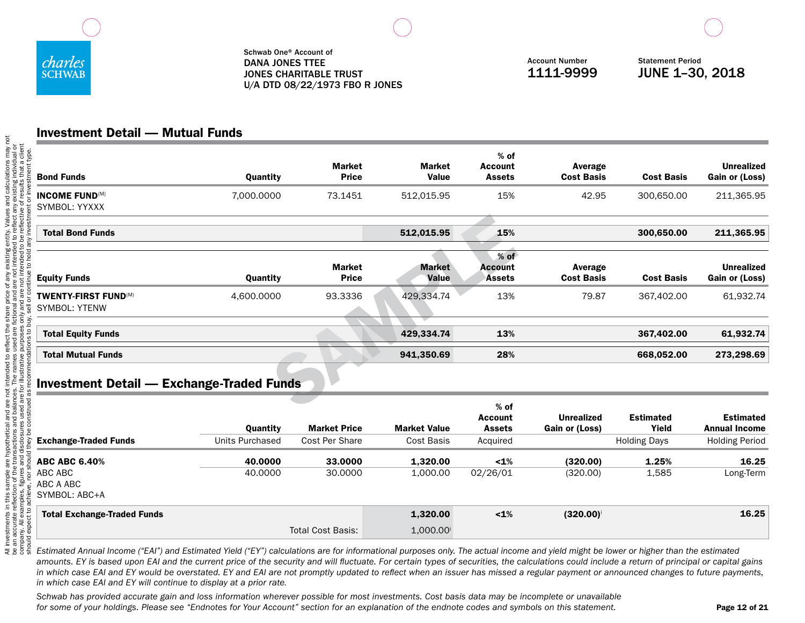

## Investment Detail — Mutual Funds

| <b>Bond Funds</b>                                   | Quantity           | <b>Market</b><br><b>Price</b> | <b>Market</b><br><b>Value</b> | % of<br><b>Account</b><br><b>Assets</b>   | Average<br><b>Cost Basis</b>        | <b>Cost Basis</b>         | <b>Unrealized</b><br>Gain or (Loss)      |
|-----------------------------------------------------|--------------------|-------------------------------|-------------------------------|-------------------------------------------|-------------------------------------|---------------------------|------------------------------------------|
| <b>INCOME FUND(M)</b><br>SYMBOL: YYXXX              | 7,000.0000         | 73.1451                       | 512,015.95                    | 15%                                       | 42.95                               | 300,650.00                | 211,365.95                               |
| <b>Total Bond Funds</b>                             |                    |                               | 512,015.95                    | 15%                                       |                                     | 300,650.00                | 211,365.95                               |
| <b>Equity Funds</b>                                 | Quantity           | <b>Market</b><br><b>Price</b> | <b>Market</b><br>Value        | $%$ of<br><b>Account</b><br><b>Assets</b> | Average<br><b>Cost Basis</b>        | <b>Cost Basis</b>         | <b>Unrealized</b><br>Gain or (Loss)      |
| <b>TWENTY-FIRST FUND(M)</b><br><b>SYMBOL: YTENW</b> | 4,600.0000         | 93.3336                       | 429,334.74                    | 13%                                       | 79.87                               | 367.402.00                | 61,932.74                                |
| <b>Total Equity Funds</b>                           |                    |                               | 429,334.74                    | 13%                                       |                                     | 367,402.00                | 61,932.74                                |
| <b>Total Mutual Funds</b>                           |                    |                               | 941,350.69                    | 28%                                       |                                     | 668,052.00                | 273,298.69                               |
| <b>Investment Detail — Exchange-Traded Funds</b>    |                    |                               |                               |                                           |                                     |                           |                                          |
|                                                     | Quantity           | <b>Market Price</b>           | <b>Market Value</b>           | $%$ of<br><b>Account</b><br><b>Assets</b> | <b>Unrealized</b><br>Gain or (Loss) | <b>Estimated</b><br>Yield | <b>Estimated</b><br><b>Annual Income</b> |
| <b>Exchange-Traded Funds</b>                        | Units Purchased    | Cost Per Share                | <b>Cost Basis</b>             | Acquired                                  |                                     | <b>Holding Days</b>       | <b>Holding Period</b>                    |
| <b>ABC ABC 6.40%</b><br>ABC ABC<br>ABC A ABC        | 40,0000<br>40.0000 | 33,0000<br>30.0000            | 1,320.00<br>1,000.00          | 1%<br>02/26/01                            | (320.00)<br>(320.00)                | 1.25%<br>1,585            | 16.25<br>Long-Term                       |

# Total Exchange-Traded Funds 1,320.00 <1% (320.00)<sup>i</sup> 16.25

SYMBOL: ABC+A

*Estimated Annual Income ("EAI") and Estimated Yield ("EY") calculations are for informational purposes only. The actual income and yield might be lower or higher than the estimated amounts. EY is based upon EAI and the current price of the security and will fluctuate. For certain types of securities, the calculations could include a return of principal or capital gains in which case EAI and EY would be overstated. EY and EAI are not promptly updated to reflect when an issuer has missed a regular payment or announced changes to future payments, in which case EAI and EY will continue to display at a prior rate.*

Total Cost Basis: 1,000.00

*Schwab has provided accurate gain and loss information wherever possible for most investments. Cost basis data may be incomplete or unavailable for some of your holdings. Please see "Endnotes for Your Account" section for an explanation of the endnote codes and symbols on this statement.*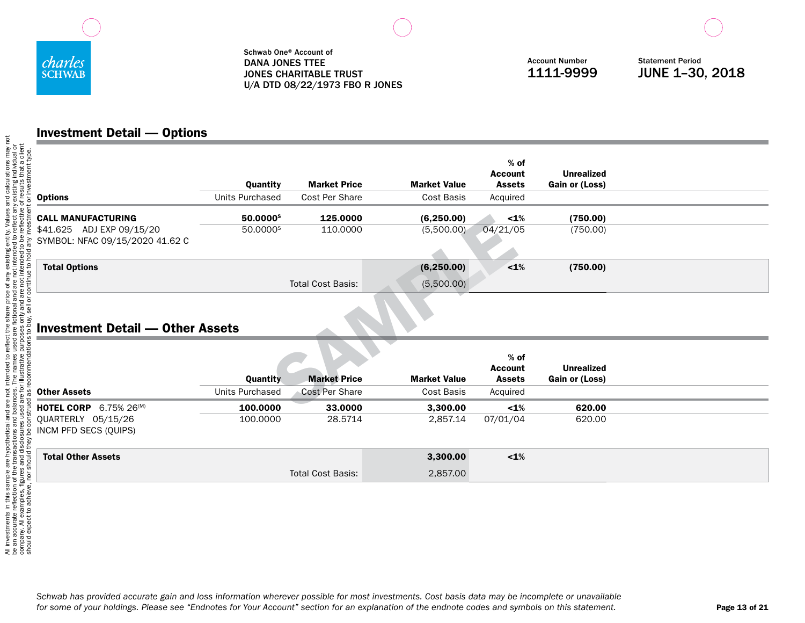

## Investment Detail — Options

|                                                              | Quantity             | <b>Market Price</b>      | <b>Market Value</b> | $%$ of<br><b>Account</b><br><b>Assets</b> | <b>Unrealized</b><br>Gain or (Loss) |  |
|--------------------------------------------------------------|----------------------|--------------------------|---------------------|-------------------------------------------|-------------------------------------|--|
| <b>Options</b>                                               | Units Purchased      | Cost Per Share           | Cost Basis          | Acquired                                  |                                     |  |
| <b>CALL MANUFACTURING</b>                                    | 50,0000 <sup>s</sup> | 125,0000                 | (6, 250.00)         | $< 1\%$                                   | (750.00)                            |  |
| \$41.625 ADJ EXP 09/15/20<br>SYMBOL: NFAC 09/15/2020 41.62 C | 50.0000 <sup>s</sup> | 110.0000                 | (5,500.00)          | 04/21/05                                  | (750.00)                            |  |
| <b>Total Options</b>                                         |                      |                          | (6, 250.00)         | $< 1\%$                                   | (750.00)                            |  |
|                                                              |                      | <b>Total Cost Basis:</b> | (5,500.00)          |                                           |                                     |  |
| <b>Investment Detail — Other Assets</b>                      |                      |                          |                     |                                           |                                     |  |
|                                                              | Quantity             | <b>Market Price</b>      | <b>Market Value</b> | $%$ of<br><b>Account</b><br><b>Assets</b> | <b>Unrealized</b><br>Gain or (Loss) |  |
| <b>Other Assets</b>                                          | Units Purchased      | Cost Per Share           | Cost Basis          | Acquired                                  |                                     |  |
| $6.75\%$ 26 <sup>(M)</sup><br><b>HOTEL CORP</b>              | 100.0000             | 33.0000                  | 3.300.00            | $1\%$                                     | 620.00                              |  |

## Investment Detail — Other Assets

|                                                 |                 |                          | $%$ of<br><b>Account</b> | <b>Unrealized</b> |                |  |
|-------------------------------------------------|-----------------|--------------------------|--------------------------|-------------------|----------------|--|
|                                                 | Quantity        | <b>Market Price</b>      | <b>Market Value</b>      | <b>Assets</b>     | Gain or (Loss) |  |
| <b>Other Assets</b>                             | Units Purchased | Cost Per Share           | Cost Basis               | Acquired          |                |  |
| $6.75\%$ 26 <sup>(M)</sup><br><b>HOTEL CORP</b> | 100,0000        | 33,0000                  | 3,300.00                 | $< 1\%$           | 620.00         |  |
| QUARTERLY 05/15/26<br>INCM PFD SECS (OUIPS)     | 100,0000        | 28.5714                  | 2,857.14                 | 07/01/04          | 620.00         |  |
| <b>Total Other Assets</b>                       |                 |                          | 3,300.00                 | $< 1\%$           |                |  |
|                                                 |                 | <b>Total Cost Basis:</b> | 2,857.00                 |                   |                |  |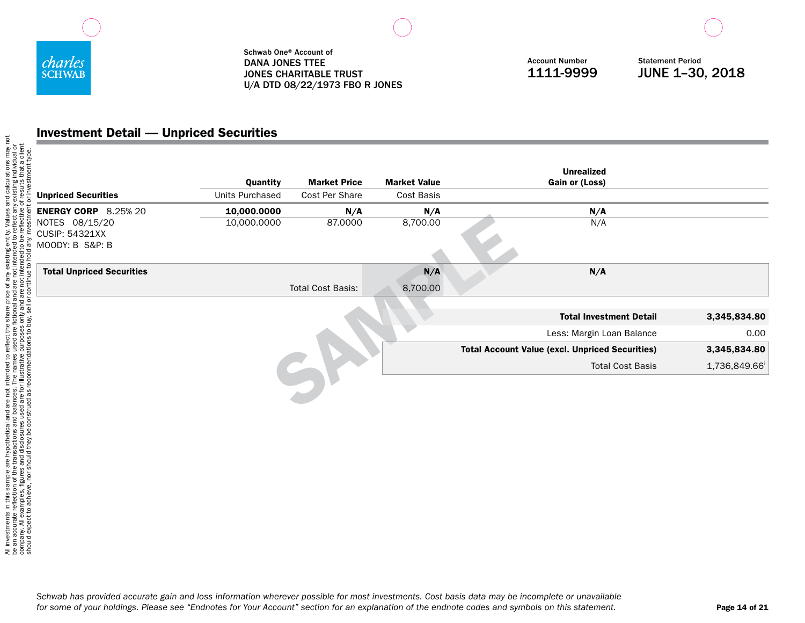

Account Number 1111-9999

Statement Period JUNE 1–30, 2018

## Investment Detail — Unpriced Securities

| <b>Unpriced Securities</b>                                 | Quantity<br>Units Purchased | <b>Market Price</b><br>Cost Per Share | <b>Market Value</b><br>Cost Basis | <b>Unrealized</b><br>Gain or (Loss)                    |              |
|------------------------------------------------------------|-----------------------------|---------------------------------------|-----------------------------------|--------------------------------------------------------|--------------|
| <b>ENERGY CORP</b> 8.25% 20                                | 10,000.0000                 | N/A                                   | N/A                               | N/A                                                    |              |
| NOTES 08/15/20<br><b>CUSIP: 54321XX</b><br>MOODY: B S&P: B | 10,000.0000                 | 87.0000                               | 8,700.00                          | N/A                                                    |              |
| <b>Total Unpriced Securities</b>                           |                             |                                       | N/A                               | N/A                                                    |              |
|                                                            |                             | <b>Total Cost Basis:</b>              | 8,700.00                          |                                                        |              |
|                                                            |                             |                                       |                                   | <b>Total Investment Detail</b>                         | 3,345,834.80 |
|                                                            |                             |                                       |                                   | Less: Margin Loan Balance                              | 0.00         |
|                                                            |                             |                                       |                                   | <b>Total Account Value (excl. Unpriced Securities)</b> | 3,345,834.80 |
|                                                            |                             |                                       |                                   | <b>Total Cost Basis</b>                                | 1,736,849.66 |
|                                                            |                             |                                       |                                   |                                                        |              |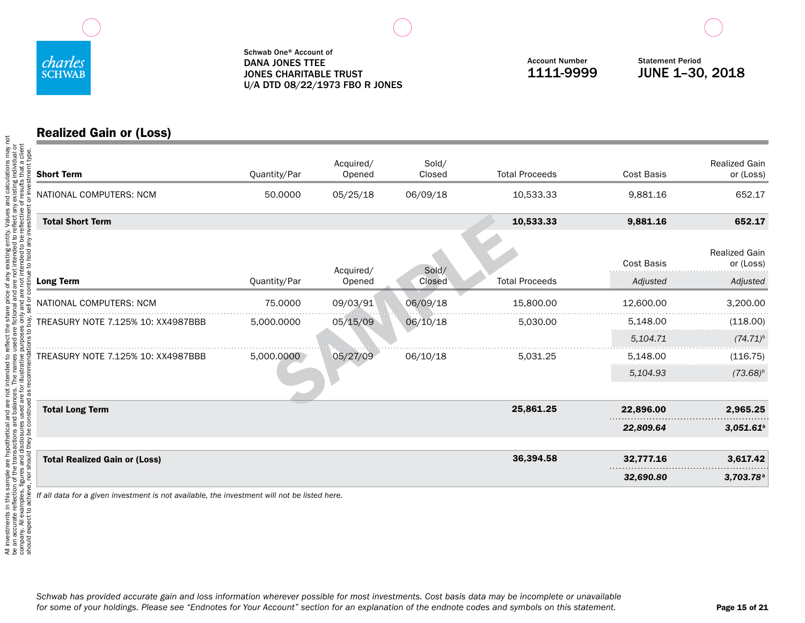

## Realized Gain or (Loss)

| <b>Short Term</b>                    | Quantity/Par | Acquired/<br>Opened | Sold/<br>Closed | <b>Total Proceeds</b> | <b>Cost Basis</b>             | <b>Realized Gain</b><br>or (Loss)             |
|--------------------------------------|--------------|---------------------|-----------------|-----------------------|-------------------------------|-----------------------------------------------|
| NATIONAL COMPUTERS: NCM              | 50.0000      | 05/25/18            | 06/09/18        | 10,533.33             | 9,881.16                      | 652.17                                        |
| <b>Total Short Term</b>              |              |                     |                 | 10,533.33             | 9,881.16                      | 652.17                                        |
| <b>Long Term</b>                     | Quantity/Par | Acquired/<br>Opened | Sold/<br>Closed | <b>Total Proceeds</b> | <b>Cost Basis</b><br>Adjusted | <b>Realized Gain</b><br>or (Loss)<br>Adjusted |
| NATIONAL COMPUTERS: NCM              | 75,0000      | 09/03/91            | 06/09/18        | 15,800.00             | 12,600.00                     | 3,200.00                                      |
| TREASURY NOTE 7.125% 10: XX4987BBB   | 5,000.0000   | 05/15/09            | 06/10/18        | 5,030.00              | 5,148.00                      | (118.00)                                      |
|                                      |              |                     |                 |                       | 5,104.71                      | $(74.71)^b$                                   |
| TREASURY NOTE 7.125% 10: XX4987BBB   | 5,000.0000   | 05/27/09            | 06/10/18        | 5,031.25              | 5,148.00                      | (116.75)                                      |
|                                      |              |                     |                 |                       | 5,104.93                      | $(73.68)^b$                                   |
| <b>Total Long Term</b>               |              |                     |                 | 25,861.25             | 22,896.00                     | 2,965.25                                      |
|                                      |              |                     |                 |                       | 22,809.64                     | 3.051.61 <sup>b</sup>                         |
| <b>Total Realized Gain or (Loss)</b> |              |                     |                 | 36,394.58             | 32,777.16                     | 3,617.42                                      |
|                                      |              |                     |                 |                       | 32,690.80                     | 3,703.78 <sup>b</sup>                         |

*If all data for a given investment is not available, the investment will not be listed here.*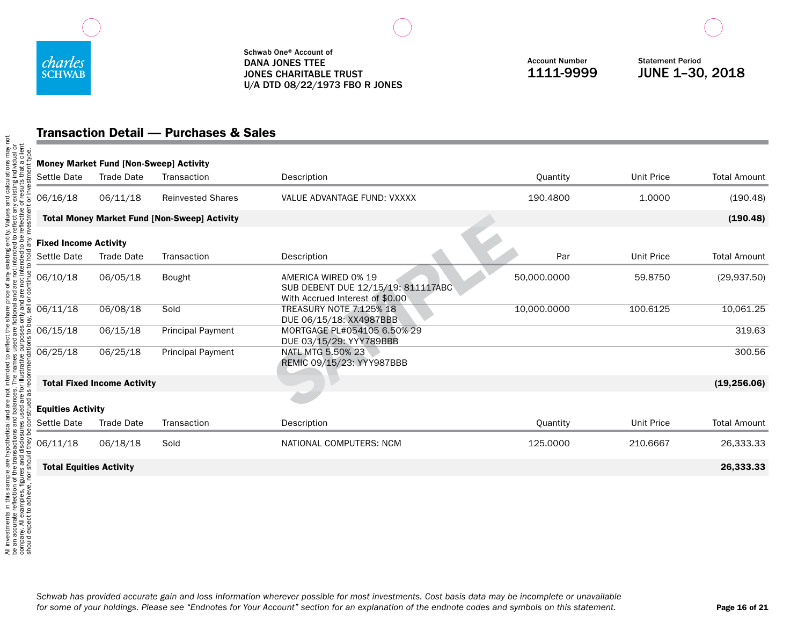

Account Number 1111-9999

Statement Period JUNE 1–30, 2018

# Transaction Detail — Purchases & Sales

|                                             | <b>Money Market Fund [Non-Sweep] Activity</b> |                                                     |                                                                                              |             |                   |                     |
|---------------------------------------------|-----------------------------------------------|-----------------------------------------------------|----------------------------------------------------------------------------------------------|-------------|-------------------|---------------------|
| Settle Date                                 | <b>Trade Date</b>                             | Transaction                                         | Description                                                                                  | Quantity    | <b>Unit Price</b> | <b>Total Amount</b> |
| 06/16/18                                    | 06/11/18                                      | <b>Reinvested Shares</b>                            | VALUE ADVANTAGE FUND: VXXXX                                                                  | 190.4800    | 1.0000            | (190.48)            |
|                                             |                                               | <b>Total Money Market Fund [Non-Sweep] Activity</b> |                                                                                              |             |                   | (190.48)            |
| <b>Fixed Income Activity</b><br>Settle Date | Trade Date                                    | Transaction                                         | Description                                                                                  | Par         | <b>Unit Price</b> | <b>Total Amount</b> |
| 06/10/18                                    | 06/05/18                                      | Bought                                              | AMERICA WIRED 0% 19<br>SUB DEBENT DUE 12/15/19: 811117ABC<br>With Accrued Interest of \$0.00 | 50,000.0000 | 59,8750           | (29, 937.50)        |
| 06/11/18                                    | 06/08/18                                      | Sold                                                | <b>TREASURY NOTE 7.125% 18</b><br>DUE 06/15/18: XX4987BBB                                    | 10.000.0000 | 100.6125          | 10,061.25           |
| 06/15/18                                    | 06/15/18                                      | <b>Principal Payment</b>                            | MORTGAGE PL#054105 6.50% 29<br>DUE 03/15/29: YYY789BBB                                       |             |                   | 319.63              |
| 06/25/18                                    | 06/25/18                                      | <b>Principal Payment</b>                            | NATL MTG 5.50% 23<br>REMIC 09/15/23: YYY987BBB                                               |             |                   | 300.56              |
|                                             | <b>Total Fixed Income Activity</b>            |                                                     |                                                                                              |             |                   | (19, 256.06)        |
| <b>Equities Activity</b>                    |                                               |                                                     |                                                                                              |             |                   |                     |
| Settle Date                                 | Trade Date                                    | Transaction                                         | Description                                                                                  | Quantity    | <b>Unit Price</b> | <b>Total Amount</b> |
| 06/11/18                                    | 06/18/18                                      | Sold                                                | NATIONAL COMPUTERS: NCM                                                                      | 125,0000    | 210.6667          | 26,333.33           |
| <b>Total Equities Activity</b>              |                                               |                                                     |                                                                                              |             |                   | 26,333.33           |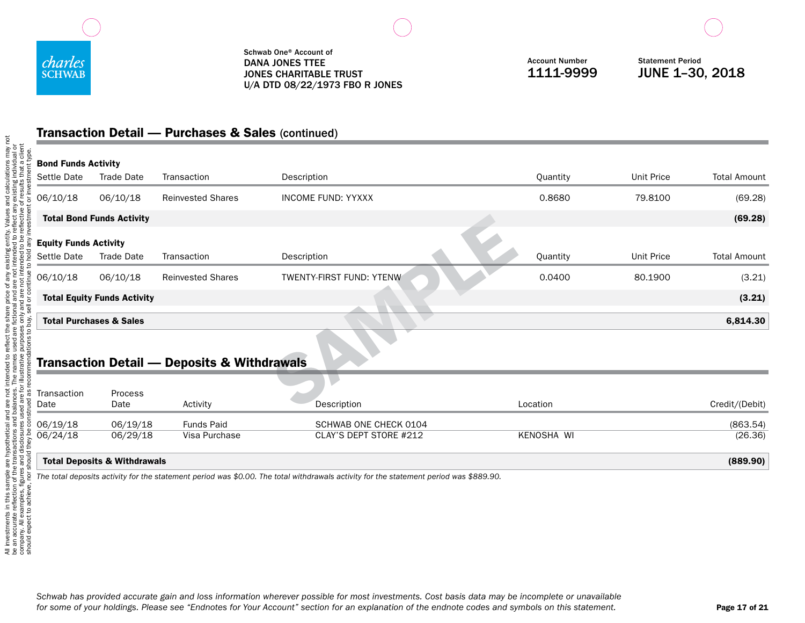

Account Number 1111-9999

Statement Period JUNE 1–30, 2018

# Transaction Detail — Purchases & Sales (continued)

| <b>Bond Funds Activity</b>                  |                                         |                                                        |                                                 |            |                   |                     |
|---------------------------------------------|-----------------------------------------|--------------------------------------------------------|-------------------------------------------------|------------|-------------------|---------------------|
| Settle Date                                 | Trade Date                              | Transaction                                            | Description                                     | Quantity   | <b>Unit Price</b> | <b>Total Amount</b> |
| 06/10/18                                    | 06/10/18                                | <b>Reinvested Shares</b>                               | <b>INCOME FUND: YYXXX</b>                       | 0.8680     | 79.8100           | (69.28)             |
|                                             | <b>Total Bond Funds Activity</b>        |                                                        |                                                 |            |                   | (69.28)             |
| <b>Equity Funds Activity</b><br>Settle Date | Trade Date                              | Transaction                                            | Description                                     | Quantity   | <b>Unit Price</b> | <b>Total Amount</b> |
| 06/10/18                                    | 06/10/18                                | <b>Reinvested Shares</b>                               | TWENTY-FIRST FUND: YTENW                        | 0.0400     | 80.1900           | (3.21)              |
|                                             | <b>Total Equity Funds Activity</b>      |                                                        |                                                 |            |                   | (3.21)              |
|                                             | <b>Total Purchases &amp; Sales</b>      |                                                        |                                                 |            |                   | 6,814.30            |
|                                             |                                         | <b>Transaction Detail - Deposits &amp; Withdrawals</b> |                                                 |            |                   |                     |
| Transaction<br>Date                         | Process<br>Date                         | Activity                                               | Description                                     | Location   |                   | Credit/(Debit)      |
| 06/19/18                                    | 06/19/18<br>06/29/18                    | <b>Funds Paid</b><br>Visa Purchase                     | SCHWAB ONE CHECK 0104<br>CLAY'S DEPT STORE #212 | KENOSHA WI |                   | (863.54)<br>(26.36) |
| 06/24/18                                    |                                         |                                                        |                                                 |            |                   |                     |
|                                             | <b>Total Deposits &amp; Withdrawals</b> |                                                        |                                                 |            |                   | (889.90)            |

*The total deposits activity for the statement period was \$0.00. The total withdrawals activity for the statement period was \$889.90.*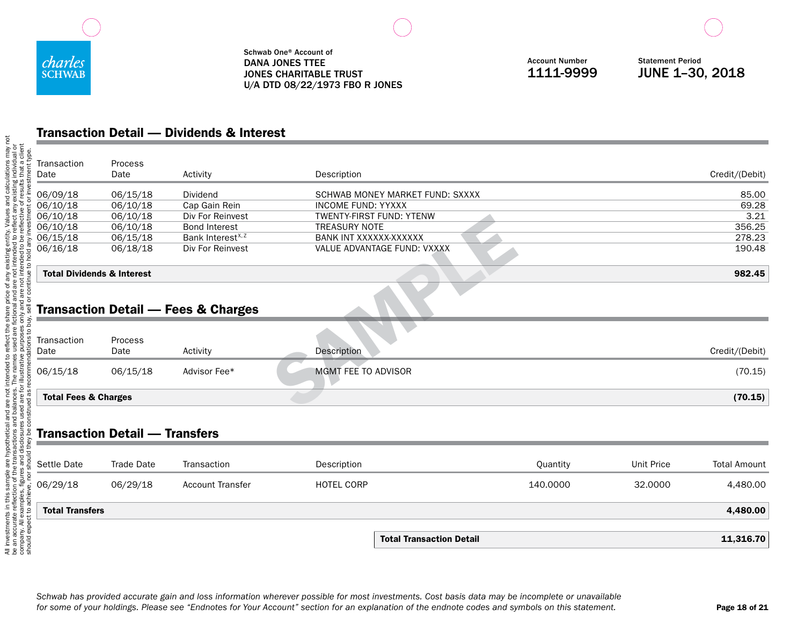

Account Number 1111-9999

Statement Period JUNE 1–30, 2018

# Transaction Detail — Dividends & Interest

|                                       |                                       |                                                | <b>Total Transaction Detail</b>                       |          |                   | 11,316.70           |
|---------------------------------------|---------------------------------------|------------------------------------------------|-------------------------------------------------------|----------|-------------------|---------------------|
|                                       |                                       |                                                |                                                       |          |                   |                     |
| <b>Total Transfers</b>                |                                       |                                                |                                                       |          |                   | 4,480.00            |
| 06/29/18                              | 06/29/18                              | <b>Account Transfer</b>                        | <b>HOTEL CORP</b>                                     | 140.0000 | 32.0000           | 4,480.00            |
| Settle Date                           | <b>Trade Date</b>                     | Transaction                                    | Description                                           | Quantity | <b>Unit Price</b> | <b>Total Amount</b> |
|                                       |                                       |                                                |                                                       |          |                   |                     |
|                                       | <b>Transaction Detail - Transfers</b> |                                                |                                                       |          |                   |                     |
|                                       |                                       |                                                |                                                       |          |                   |                     |
| <b>Total Fees &amp; Charges</b>       |                                       |                                                |                                                       |          |                   | (70.15)             |
| 06/15/18                              | 06/15/18                              | Advisor Fee*                                   | MGMT FEE TO ADVISOR                                   |          |                   | (70.15)             |
| Date                                  | Date                                  | Activity                                       | Description                                           |          |                   | Credit/(Debit)      |
| Transaction                           | Process                               |                                                |                                                       |          |                   |                     |
|                                       |                                       | <b>Transaction Detail - Fees &amp; Charges</b> |                                                       |          |                   |                     |
|                                       |                                       |                                                |                                                       |          |                   |                     |
| <b>Total Dividends &amp; Interest</b> |                                       |                                                |                                                       |          |                   | 982.45              |
| 06/16/18                              | 06/18/18                              | Div For Reinvest                               | VALUE ADVANTAGE FUND: VXXXX                           |          |                   | 190.48              |
| 06/15/18                              | 06/15/18                              | Bank Interest <sup>x, z</sup>                  | BANK INT XXXXXX-XXXXXX                                |          |                   | 278.23              |
| 06/10/18                              | 06/10/18                              | <b>Bond Interest</b>                           | <b>TREASURY NOTE</b>                                  |          |                   | 356.25              |
| 06/10/18<br>06/10/18                  | 06/10/18<br>06/10/18                  | Cap Gain Rein<br>Div For Reinvest              | <b>INCOME FUND: YYXXX</b><br>TWENTY-FIRST FUND: YTENW |          |                   | 69.28<br>3.21       |
| 06/09/18                              | 06/15/18                              | Dividend                                       | SCHWAB MONEY MARKET FUND: SXXXX                       |          |                   | 85.00               |
| Date                                  | Date                                  | Activity                                       | Description                                           |          |                   | Credit/(Debit)      |
| Transaction                           | Process                               |                                                |                                                       |          |                   |                     |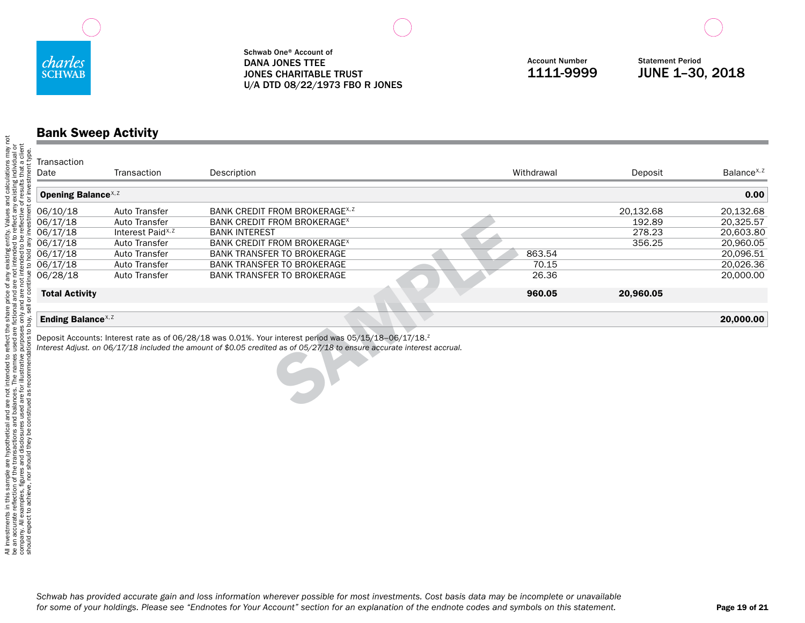

Account Number 1111-9999

Statement Period JUNE 1–30, 2018

### Bank Sweep Activity

| Transaction<br>Date                    |                               |                                                                                                                                                                                                                                               | Withdrawal |           | Balance <sup>x, z</sup> |
|----------------------------------------|-------------------------------|-----------------------------------------------------------------------------------------------------------------------------------------------------------------------------------------------------------------------------------------------|------------|-----------|-------------------------|
|                                        | Transaction                   | Description                                                                                                                                                                                                                                   |            | Deposit   |                         |
| <b>Opening Balance</b> <sup>X, Z</sup> |                               |                                                                                                                                                                                                                                               |            |           | 0.00                    |
|                                        |                               |                                                                                                                                                                                                                                               |            |           |                         |
| 06/10/18                               | Auto Transfer                 | BANK CREDIT FROM BROKERAGE <sup>x, 2</sup>                                                                                                                                                                                                    |            | 20,132.68 | 20,132.68               |
| 06/17/18                               | Auto Transfer                 | BANK CREDIT FROM BROKERAGE <sup>x</sup>                                                                                                                                                                                                       |            | 192.89    | 20,325.57               |
| 06/17/18                               | Interest Paid <sup>x, z</sup> | <b>BANK INTEREST</b>                                                                                                                                                                                                                          |            | 278.23    | 20,603.80               |
| 06/17/18                               | Auto Transfer                 | BANK CREDIT FROM BROKERAGE <sup>x</sup>                                                                                                                                                                                                       |            | 356.25    | 20,960.05               |
| 06/17/18                               | Auto Transfer                 | <b>BANK TRANSFER TO BROKERAGE</b>                                                                                                                                                                                                             | 863.54     |           | 20,096.51               |
| 06/17/18                               | Auto Transfer                 | <b>BANK TRANSFER TO BROKERAGE</b>                                                                                                                                                                                                             | 70.15      |           | 20,026.36               |
| 06/28/18                               | Auto Transfer                 | <b>BANK TRANSFER TO BROKERAGE</b>                                                                                                                                                                                                             | 26.36      |           | 20,000.00               |
| <b>Total Activity</b>                  |                               |                                                                                                                                                                                                                                               | 960.05     | 20,960.05 |                         |
|                                        |                               |                                                                                                                                                                                                                                               |            |           |                         |
|                                        |                               |                                                                                                                                                                                                                                               |            |           |                         |
| Ending Balance <sup>x, z</sup>         |                               |                                                                                                                                                                                                                                               |            |           | 20,000.00               |
|                                        |                               |                                                                                                                                                                                                                                               |            |           |                         |
|                                        |                               | Deposit Accounts: Interest rate as of 06/28/18 was 0.01%. Your interest period was 05/15/18-06/17/18. <sup>2</sup><br>Interest Adjust. on 06/17/18 included the amount of \$0.05 credited as of 05/27/18 to ensure accurate interest accrual. |            |           |                         |
|                                        |                               |                                                                                                                                                                                                                                               |            |           |                         |
|                                        |                               |                                                                                                                                                                                                                                               |            |           |                         |
|                                        |                               |                                                                                                                                                                                                                                               |            |           |                         |
|                                        |                               |                                                                                                                                                                                                                                               |            |           |                         |
|                                        |                               |                                                                                                                                                                                                                                               |            |           |                         |
|                                        |                               |                                                                                                                                                                                                                                               |            |           |                         |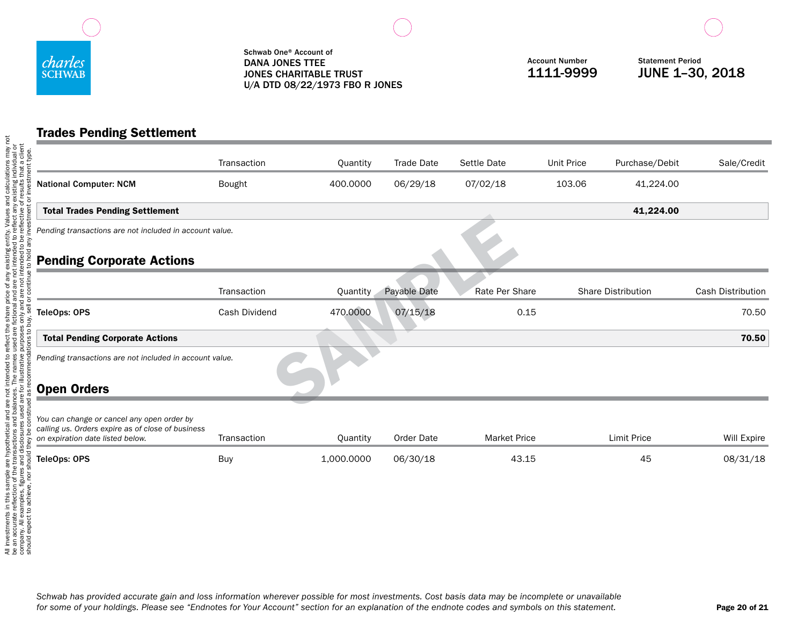

## Trades Pending Settlement

|                                                                                                                                     | Transaction                                             | Quantity   | <b>Trade Date</b> | Settle Date         | Unit Price | Purchase/Debit     | Sale/Credit       |  |  |  |
|-------------------------------------------------------------------------------------------------------------------------------------|---------------------------------------------------------|------------|-------------------|---------------------|------------|--------------------|-------------------|--|--|--|
| <b>National Computer: NCM</b>                                                                                                       | Bought                                                  | 400.0000   | 06/29/18          | 07/02/18            | 103.06     | 41,224.00          |                   |  |  |  |
| <b>Total Trades Pending Settlement</b>                                                                                              |                                                         |            |                   |                     |            | 41,224.00          |                   |  |  |  |
| Pending transactions are not included in account value.                                                                             |                                                         |            |                   |                     |            |                    |                   |  |  |  |
| <b>Pending Corporate Actions</b>                                                                                                    |                                                         |            |                   |                     |            |                    |                   |  |  |  |
|                                                                                                                                     | Transaction                                             | Quantity   | Payable Date      | Rate Per Share      |            | Share Distribution | Cash Distribution |  |  |  |
| TeleOps: OPS                                                                                                                        | Cash Dividend                                           | 470.0000   | 07/15/18          | 0.15                |            |                    | 70.50             |  |  |  |
| <b>Total Pending Corporate Actions</b>                                                                                              |                                                         |            |                   |                     |            |                    | 70.50             |  |  |  |
|                                                                                                                                     | Pending transactions are not included in account value. |            |                   |                     |            |                    |                   |  |  |  |
| <b>Open Orders</b>                                                                                                                  |                                                         |            |                   |                     |            |                    |                   |  |  |  |
| You can change or cancel any open order by<br>calling us. Orders expire as of close of business<br>on expiration date listed below. | Transaction                                             | Quantity   | <b>Order Date</b> | <b>Market Price</b> |            | <b>Limit Price</b> | Will Expire       |  |  |  |
| TeleOps: OPS                                                                                                                        | Buy                                                     | 1,000.0000 | 06/30/18          | 43.15               |            | 45                 | 08/31/18          |  |  |  |
|                                                                                                                                     |                                                         |            |                   |                     |            |                    |                   |  |  |  |
|                                                                                                                                     |                                                         |            |                   |                     |            |                    |                   |  |  |  |
| ould expect to achi                                                                                                                 |                                                         |            |                   |                     |            |                    |                   |  |  |  |
|                                                                                                                                     |                                                         |            |                   |                     |            |                    |                   |  |  |  |